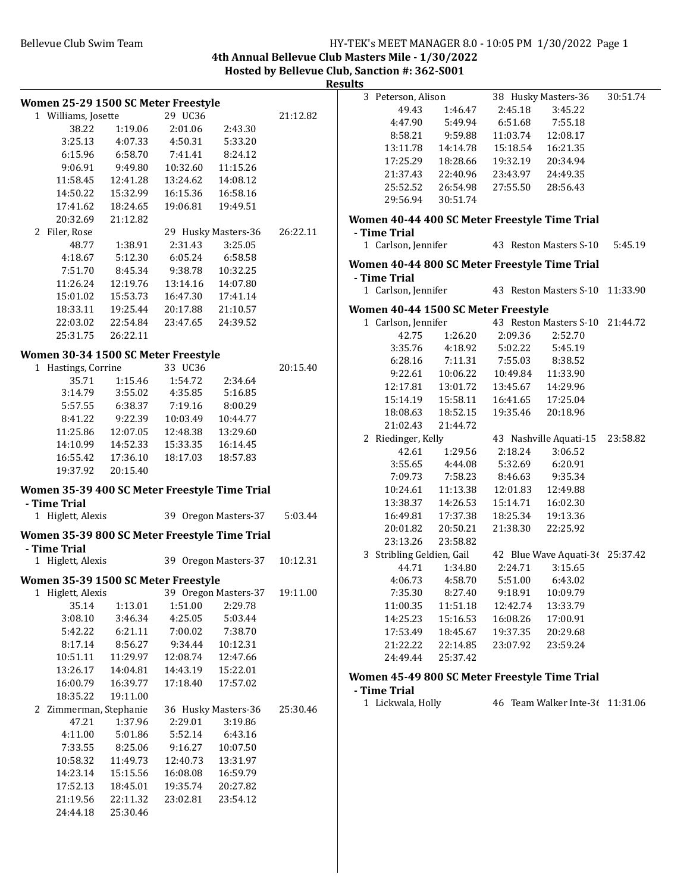#### Bellevue Club Swim Team Team Franch Club Swim Team Franch Club Swim Team Franch Club Swim Team Franch Club Swim

**4th Annual Bellevue Club Masters Mile - 1/30/2022 Hosted by Bellevue Club, Sanction #: 362-S001**

**Results**

|                                                               |                     |                   |                      |          | ncouns         |
|---------------------------------------------------------------|---------------------|-------------------|----------------------|----------|----------------|
| Women 25-29 1500 SC Meter Freestyle                           |                     |                   |                      |          | 3 Pet          |
| 1 Williams, Josette                                           |                     | 29 UC36           |                      | 21:12.82 |                |
| 38.22                                                         | 1:19.06             | 2:01.06           | 2:43.30              |          |                |
| 3:25.13                                                       | 4:07.33             | 4:50.31           | 5:33.20              |          |                |
| 6:15.96                                                       | 6:58.70             | 7:41.41           | 8:24.12              |          | $\mathbf{1}$   |
| 9:06.91                                                       | 9:49.80             | 10:32.60          | 11:15.26             |          | $\mathbf{1}$   |
| 11:58.45                                                      | 12:41.28            | 13:24.62          | 14:08.12             |          | $\overline{c}$ |
| 14:50.22                                                      | 15:32.99            | 16:15.36          | 16:58.16             |          | $\overline{c}$ |
| 17:41.62                                                      | 18:24.65            | 19:06.81          | 19:49.51             |          | $\overline{2}$ |
|                                                               | 20:32.69 21:12.82   |                   |                      |          | Women          |
| 2 Filer, Rose                                                 |                     |                   | 29 Husky Masters-36  | 26:22.11 | - Time         |
| 48.77                                                         | 1:38.91             | 2:31.43           | 3:25.05              |          | 1 Car          |
| 4:18.67                                                       | 5:12.30             | 6:05.24 6:58.58   |                      |          |                |
| 7:51.70                                                       | 8:45.34             | 9:38.78 10:32.25  |                      |          | Women          |
| 11:26.24                                                      | 12:19.76            | 13:14.16          | 14:07.80             |          | - Time         |
| 15:01.02                                                      | 15:53.73            | 16:47.30          | 17:41.14             |          | 1 Car          |
| 18:33.11                                                      | 19:25.44            | 20:17.88          | 21:10.57             |          | Women          |
|                                                               | 22:03.02 22:54.84   | 23:47.65 24:39.52 |                      |          | 1 Car          |
|                                                               | 25:31.75 26:22.11   |                   |                      |          |                |
| Women 30-34 1500 SC Meter Freestyle                           |                     |                   |                      |          |                |
| 1 Hastings, Corrine                                           |                     | 33 UC36           |                      | 20:15.40 |                |
| 35.71                                                         | 1:15.46             | 1:54.72           | 2:34.64              |          |                |
| 3:14.79                                                       | 3:55.02             | 4:35.85           | 5:16.85              |          | $\mathbf{1}$   |
| 5:57.55                                                       | 6:38.37             | 7:19.16           | 8:00.29              |          | $\mathbf{1}$   |
|                                                               | 8:41.22 9:22.39     | 10:03.49          | 10:44.77             |          | $\mathbf{1}$   |
|                                                               | 11:25.86  12:07.05  | 12:48.38          | 13:29.60             |          | $\overline{2}$ |
| 14:10.99                                                      | 14:52.33            | 15:33.35          | 16:14.45             |          | 2 Rie          |
|                                                               | 16:55.42   17:36.10 | 18:17.03          | 18:57.83             |          |                |
|                                                               | 19:37.92 20:15.40   |                   |                      |          |                |
| Women 35-39 400 SC Meter Freestyle Time Trial                 |                     |                   |                      |          | $\mathbf{1}$   |
| - Time Trial                                                  |                     |                   |                      |          | $\mathbf{1}$   |
| 1 Higlett, Alexis                                             |                     |                   | 39 Oregon Masters-37 | 5:03.44  | $\mathbf{1}$   |
|                                                               |                     |                   |                      |          | $\overline{c}$ |
| Women 35-39 800 SC Meter Freestyle Time Trial<br>- Time Trial |                     |                   |                      |          | $\overline{2}$ |
| 1 Higlett, Alexis                                             |                     |                   | 39 Oregon Masters-37 | 10:12.31 | 3 Stri         |
| Women 35-39 1500 SC Meter Freestyle                           |                     |                   |                      |          |                |
| 1 Higlett, Alexis 39 Oregon Masters-37 19:11.00               |                     |                   |                      |          |                |
| 35.14                                                         | 1:13.01             | 1:51.00           | 2:29.78              |          | $\mathbf{1}$   |
| 3:08.10                                                       | 3:46.34             | 4:25.05           | 5:03.44              |          | $\mathbf{1}$   |
| 5:42.22                                                       | 6:21.11             | 7:00.02           | 7:38.70              |          | $\mathbf{1}$   |
| 8:17.14                                                       | 8:56.27             | 9:34.44           | 10:12.31             |          | $\overline{c}$ |
| 10:51.11                                                      | 11:29.97            | 12:08.74          | 12:47.66             |          | $\overline{c}$ |
| 13:26.17                                                      | 14:04.81            | 14:43.19          | 15:22.01             |          |                |
| 16:00.79                                                      | 16:39.77            | 17:18.40          | 17:57.02             |          | Women          |
| 18:35.22                                                      | 19:11.00            |                   |                      |          | - Time         |
| 2 Zimmerman, Stephanie                                        |                     |                   | 36 Husky Masters-36  | 25:30.46 | 1 Licl         |
| 47.21                                                         | 1:37.96             | 2:29.01           | 3:19.86              |          |                |
| 4:11.00                                                       | 5:01.86             | 5:52.14           | 6:43.16              |          |                |
| 7:33.55                                                       | 8:25.06             | 9:16.27           | 10:07.50             |          |                |
| 10:58.32                                                      | 11:49.73            | 12:40.73          | 13:31.97             |          |                |
| 14:23.14                                                      | 15:15.56            | 16:08.08          | 16:59.79             |          |                |
| 17:52.13                                                      | 18:45.01            | 19:35.74          | 20:27.82             |          |                |
| 21:19.56                                                      | 22:11.32            | 23:02.81          | 23:54.12             |          |                |
| 24:44.18                                                      | 25:30.46            |                   |                      |          |                |
|                                                               |                     |                   |                      |          |                |

|   | 3 Peterson, Alison      |                                                                                                                                                                                                                         |          | 38 Husky Masters-36                                | 30:51.74 |
|---|-------------------------|-------------------------------------------------------------------------------------------------------------------------------------------------------------------------------------------------------------------------|----------|----------------------------------------------------|----------|
|   | 49.43                   | 1:46.47                                                                                                                                                                                                                 | 2:45.18  | 3:45.22                                            |          |
|   |                         | 4:47.90 5:49.94                                                                                                                                                                                                         |          | 6:51.68 7:55.18                                    |          |
|   |                         | 8:58.21 9:59.88                                                                                                                                                                                                         |          | 11:03.74  12:08.17                                 |          |
|   |                         | 13:11.78  14:14.78                                                                                                                                                                                                      |          | 15:18.54  16:21.35                                 |          |
|   |                         | 17:25.29  18:28.66                                                                                                                                                                                                      |          | 19:32.19 20:34.94                                  |          |
|   |                         | 21:37.43  22:40.96  23:43.97  24:49.35                                                                                                                                                                                  |          |                                                    |          |
|   |                         | 25:52.52 26:54.98                                                                                                                                                                                                       |          | 27:55.50 28:56.43                                  |          |
|   | 29:56.94                | 30:51.74                                                                                                                                                                                                                |          |                                                    |          |
|   |                         |                                                                                                                                                                                                                         |          | Women 40-44 400 SC Meter Freestyle Time Trial      |          |
|   | - Time Trial            |                                                                                                                                                                                                                         |          |                                                    |          |
|   |                         |                                                                                                                                                                                                                         |          | 1 Carlson, Jennifer 43 Reston Masters S-10 5:45.19 |          |
|   |                         |                                                                                                                                                                                                                         |          | Women 40-44 800 SC Meter Freestyle Time Trial      |          |
|   | - Time Trial            |                                                                                                                                                                                                                         |          |                                                    |          |
|   | 1 Carlson, Jennifer     |                                                                                                                                                                                                                         |          | 43 Reston Masters S-10 11:33.90                    |          |
|   |                         | Women 40-44 1500 SC Meter Freestyle                                                                                                                                                                                     |          |                                                    |          |
|   | 1 Carlson, Jennifer     |                                                                                                                                                                                                                         |          | 43 Reston Masters S-10 21:44.72                    |          |
|   | 42.75                   |                                                                                                                                                                                                                         |          | 1:26.20  2:09.36  2:52.70                          |          |
|   |                         | 3:35.76 4:18.92 5:02.22 5:45.19                                                                                                                                                                                         |          |                                                    |          |
|   |                         |                                                                                                                                                                                                                         |          |                                                    |          |
|   |                         |                                                                                                                                                                                                                         |          |                                                    |          |
|   |                         |                                                                                                                                                                                                                         |          |                                                    |          |
|   |                         | $\begin{tabular}{lllllll} 6:28.16 & 7:11.31 & 7:55.03 & 8:38.52 \\ 9:22.61 & 10:06.22 & 10:49.84 & 11:33.90 \\ 12:17.81 & 13:01.72 & 13:45.67 & 14:29.96 \\ 15:14.19 & 15:58.11 & 16:41.65 & 17:25.04 \\ \end{tabular}$ |          |                                                    |          |
|   |                         | 18:08.63  18:52.15                                                                                                                                                                                                      |          | 19:35.46 20:18.96                                  |          |
|   | 21:02.43                | 21:44.72                                                                                                                                                                                                                |          |                                                    |          |
| 2 | Riedinger, Kelly        |                                                                                                                                                                                                                         |          | 43 Nashville Aquati-15 23:58.82                    |          |
|   |                         | 42.61 1:29.56                                                                                                                                                                                                           |          | 2:18.24 3:06.52                                    |          |
|   |                         | 3:55.65 4:44.08                                                                                                                                                                                                         |          | 5:32.69 6:20.91                                    |          |
|   |                         | 7:09.73 7:58.23 8:46.63 9:35.34                                                                                                                                                                                         |          |                                                    |          |
|   |                         | 10:24.61  11:13.38                                                                                                                                                                                                      |          | 12:01.83  12:49.88                                 |          |
|   |                         |                                                                                                                                                                                                                         |          |                                                    |          |
|   |                         | $\begin{array}{lll} 13:38.37 & 14:26.53 \\ 16:49.81 & 17:37.38 \\ 20:01.82 & 20:50.21 \end{array}$                                                                                                                      |          | 15:14.71 16:02.50<br>10:25 34 19:13.36             |          |
|   |                         |                                                                                                                                                                                                                         |          | 21:38.30 22:25.92                                  |          |
|   | 23:13.26                | 23:58.82                                                                                                                                                                                                                |          |                                                    |          |
| 3 | Stribling Geldien, Gail |                                                                                                                                                                                                                         |          | 42 Blue Wave Aquati-36 25:37.42                    |          |
|   | 44.71                   | 1:34.80 2:24.71                                                                                                                                                                                                         |          | 3:15.65                                            |          |
|   |                         | 4:06.73 4:58.70 5:51.00 6:43.02                                                                                                                                                                                         |          |                                                    |          |
|   |                         | 7:35.30 8:27.40                                                                                                                                                                                                         |          | 9:18.91 10:09.79                                   |          |
|   | 11:00.35                | 11:51.18                                                                                                                                                                                                                | 12:42.74 | 13:33.79                                           |          |
|   | 14:25.23                | 15:16.53                                                                                                                                                                                                                | 16:08.26 | 17:00.91                                           |          |
|   | 17:53.49                | 18:45.67                                                                                                                                                                                                                | 19:37.35 | 20:29.68                                           |          |
|   | 21:22.22                | 22:14.85                                                                                                                                                                                                                | 23:07.92 | 23:59.24                                           |          |
|   | 24:49.44                | 25:37.42                                                                                                                                                                                                                |          |                                                    |          |
|   |                         |                                                                                                                                                                                                                         |          | Women 45-49 800 SC Meter Freestyle Time Trial      |          |

 $\bf{Trial}$ <br>kwala, Holly 46 Team Walker Inte-3 $(11:31.06$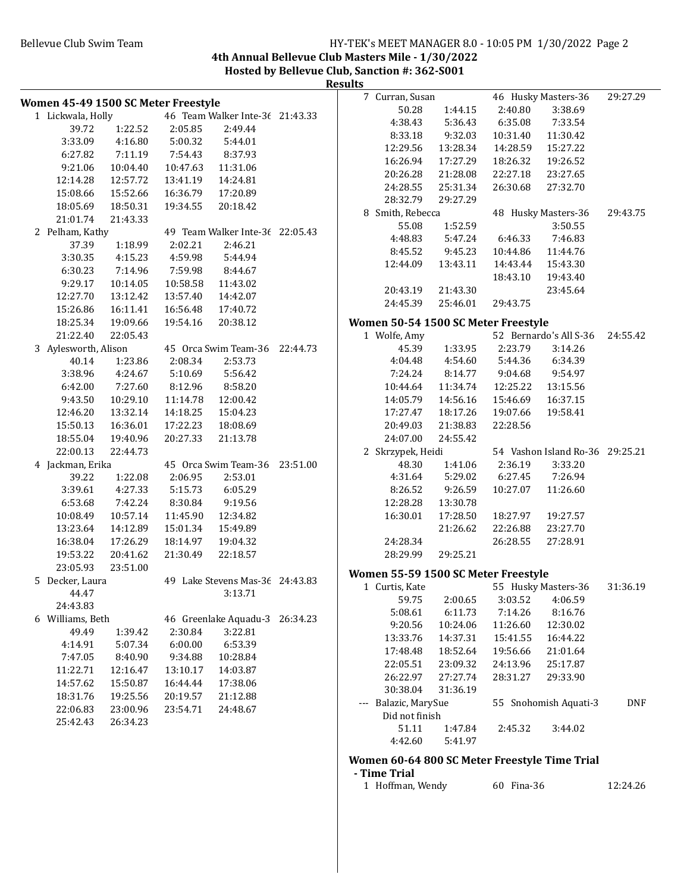# Bellevue Club Swim Team **HY-TEK's MEET MANAGER 8.0 - 10:05 PM 1/30/2022** Page 2

**4th Annual Bellevue Club Masters Mile - 1/30/2022**

**Hosted by Bellevue Club, Sanction #: 362-S001 Results**

|                                     |          |          |                                 | Results |                                     |                    |            |                                               |          |
|-------------------------------------|----------|----------|---------------------------------|---------|-------------------------------------|--------------------|------------|-----------------------------------------------|----------|
| Women 45-49 1500 SC Meter Freestyle |          |          |                                 |         | 7 Curran, Susan                     |                    |            | 46 Husky Masters-36                           | 29:27.29 |
| 1 Lickwala, Holly                   |          |          | 46 Team Walker Inte-36 21:43.33 |         | 50.28                               | 1:44.15            | 2:40.80    | 3:38.69                                       |          |
| 39.72                               | 1:22.52  | 2:05.85  | 2:49.44                         |         | 4:38.43                             | 5:36.43            | 6:35.08    | 7:33.54                                       |          |
| 3:33.09                             | 4:16.80  | 5:00.32  | 5:44.01                         |         | 8:33.18                             | 9:32.03            | 10:31.40   | 11:30.42                                      |          |
| 6:27.82                             | 7:11.19  | 7:54.43  | 8:37.93                         |         | 12:29.56                            | 13:28.34           | 14:28.59   | 15:27.22                                      |          |
| 9:21.06                             | 10:04.40 | 10:47.63 | 11:31.06                        |         | 16:26.94                            | 17:27.29           | 18:26.32   | 19:26.52                                      |          |
| 12:14.28                            | 12:57.72 | 13:41.19 | 14:24.81                        |         | 20:26.28                            | 21:28.08           | 22:27.18   | 23:27.65                                      |          |
| 15:08.66                            | 15:52.66 | 16:36.79 | 17:20.89                        |         | 24:28.55                            | 25:31.34           | 26:30.68   | 27:32.70                                      |          |
| 18:05.69                            | 18:50.31 | 19:34.55 | 20:18.42                        |         | 28:32.79                            | 29:27.29           |            |                                               |          |
| 21:01.74                            | 21:43.33 |          |                                 |         | 8 Smith, Rebecca                    |                    |            | 48 Husky Masters-36                           | 29:43.75 |
| 2 Pelham, Kathy                     |          |          | 49 Team Walker Inte-36 22:05.43 |         | 55.08                               | 1:52.59            |            | 3:50.55                                       |          |
| 37.39                               | 1:18.99  | 2:02.21  | 2:46.21                         |         | 4:48.83                             | 5:47.24            | 6:46.33    | 7:46.83                                       |          |
| 3:30.35                             | 4:15.23  | 4:59.98  | 5:44.94                         |         | 8:45.52                             | 9:45.23            | 10:44.86   | 11:44.76                                      |          |
| 6:30.23                             | 7:14.96  | 7:59.98  | 8:44.67                         |         | 12:44.09                            | 13:43.11           | 14:43.44   | 15:43.30                                      |          |
| 9:29.17                             | 10:14.05 | 10:58.58 | 11:43.02                        |         |                                     |                    | 18:43.10   | 19:43.40                                      |          |
| 12:27.70                            | 13:12.42 | 13:57.40 | 14:42.07                        |         | 20:43.19                            | 21:43.30           |            | 23:45.64                                      |          |
| 15:26.86                            | 16:11.41 | 16:56.48 | 17:40.72                        |         | 24:45.39                            | 25:46.01           | 29:43.75   |                                               |          |
| 18:25.34                            | 19:09.66 | 19:54.16 | 20:38.12                        |         | Women 50-54 1500 SC Meter Freestyle |                    |            |                                               |          |
| 21:22.40                            | 22:05.43 |          |                                 |         | 1 Wolfe, Amy                        |                    |            | 52 Bernardo's All S-36                        | 24:55.42 |
| 3 Aylesworth, Alison                |          |          | 45 Orca Swim Team-36 22:44.73   |         | 45.39                               | 1:33.95            | 2:23.79    | 3:14.26                                       |          |
| 40.14                               | 1:23.86  | 2:08.34  | 2:53.73                         |         | 4:04.48                             | 4:54.60            | 5:44.36    | 6:34.39                                       |          |
| 3:38.96                             | 4:24.67  | 5:10.69  | 5:56.42                         |         | 7:24.24                             | 8:14.77            | 9:04.68    | 9:54.97                                       |          |
| 6:42.00                             | 7:27.60  | 8:12.96  | 8:58.20                         |         | 10:44.64                            | 11:34.74           | 12:25.22   | 13:15.56                                      |          |
| 9:43.50                             | 10:29.10 | 11:14.78 | 12:00.42                        |         | 14:05.79                            | 14:56.16           | 15:46.69   | 16:37.15                                      |          |
| 12:46.20                            | 13:32.14 | 14:18.25 | 15:04.23                        |         | 17:27.47                            | 18:17.26           | 19:07.66   | 19:58.41                                      |          |
| 15:50.13                            | 16:36.01 | 17:22.23 | 18:08.69                        |         | 20:49.03                            | 21:38.83           | 22:28.56   |                                               |          |
| 18:55.04                            | 19:40.96 | 20:27.33 | 21:13.78                        |         | 24:07.00                            | 24:55.42           |            |                                               |          |
| 22:00.13                            | 22:44.73 |          |                                 |         | 2 Skrzypek, Heidi                   |                    |            | 54 Vashon Island Ro-36 29:25.21               |          |
| 4 Jackman, Erika                    |          |          | 45 Orca Swim Team-36 23:51.00   |         | 48.30                               | 1:41.06            | 2:36.19    | 3:33.20                                       |          |
| 39.22                               | 1:22.08  | 2:06.95  | 2:53.01                         |         | 4:31.64                             | 5:29.02            | 6:27.45    | 7:26.94                                       |          |
| 3:39.61                             | 4:27.33  | 5:15.73  | 6:05.29                         |         | 8:26.52                             | 9:26.59            | 10:27.07   | 11:26.60                                      |          |
| 6:53.68                             | 7:42.24  | 8:30.84  | 9:19.56                         |         | 12:28.28                            | 13:30.78           |            |                                               |          |
| 10:08.49                            | 10:57.14 | 11:45.90 | 12:34.82                        |         | 16:30.01                            | 17:28.50           | 18:27.97   | 19:27.57                                      |          |
| 13:23.64                            | 14:12.89 | 15:01.34 | 15:49.89                        |         |                                     | 21:26.62           | 22:26.88   | 23:27.70                                      |          |
| 16:38.04                            | 17:26.29 | 18:14.97 | 19:04.32                        |         | 24:28.34                            |                    | 26:28.55   | 27:28.91                                      |          |
| 19:53.22                            | 20:41.62 | 21:30.49 | 22:18.57                        |         | 28:29.99                            | 29:25.21           |            |                                               |          |
| 23:05.93                            | 23:51.00 |          |                                 |         |                                     |                    |            |                                               |          |
| 5 Decker, Laura                     |          |          | 49 Lake Stevens Mas-36 24:43.83 |         | Women 55-59 1500 SC Meter Freestyle |                    |            |                                               |          |
| 44.47                               |          |          | 3:13.71                         |         | 1 Curtis, Kate                      |                    |            | 55 Husky Masters-36                           | 31:36.19 |
| 24:43.83                            |          |          |                                 |         | 59.75                               | 2:00.65            | 3:03.52    | 4:06.59                                       |          |
| 6 Williams, Beth                    |          |          | 46 Greenlake Aquadu-3 26:34.23  |         | 5:08.61                             | 6:11.73            | 7:14.26    | 8:16.76                                       |          |
| 49.49                               | 1:39.42  | 2:30.84  | 3:22.81                         |         | 9:20.56                             | 10:24.06           | 11:26.60   | 12:30.02                                      |          |
| 4:14.91                             | 5:07.34  | 6:00.00  | 6:53.39                         |         | 13:33.76                            | 14:37.31           | 15:41.55   | 16:44.22                                      |          |
| 7:47.05                             | 8:40.90  | 9:34.88  | 10:28.84                        |         | 17:48.48                            | 18:52.64           | 19:56.66   | 21:01.64                                      |          |
| 11:22.71                            | 12:16.47 | 13:10.17 | 14:03.87                        |         | 22:05.51                            | 23:09.32           | 24:13.96   | 25:17.87                                      |          |
| 14:57.62                            | 15:50.87 | 16:44.44 | 17:38.06                        |         | 26:22.97                            | 27:27.74           | 28:31.27   | 29:33.90                                      |          |
| 18:31.76                            | 19:25.56 | 20:19.57 | 21:12.88                        |         | 30:38.04                            | 31:36.19           |            |                                               |          |
| 22:06.83                            | 23:00.96 | 23:54.71 | 24:48.67                        |         | --- Balazic, MarySue                |                    |            | 55 Snohomish Aquati-3                         | DNF      |
| 25:42.43                            | 26:34.23 |          |                                 |         | Did not finish                      |                    |            |                                               |          |
|                                     |          |          |                                 |         | 51.11<br>4:42.60                    | 1:47.84<br>5:41.97 | 2:45.32    | 3:44.02                                       |          |
|                                     |          |          |                                 |         |                                     |                    |            | Women 60-64 800 SC Meter Freestyle Time Trial |          |
|                                     |          |          |                                 |         | - Time Trial                        |                    |            |                                               |          |
|                                     |          |          |                                 |         | 1 Hoffman, Wendy                    |                    | 60 Fina-36 |                                               | 12:24.26 |
|                                     |          |          |                                 |         |                                     |                    |            |                                               |          |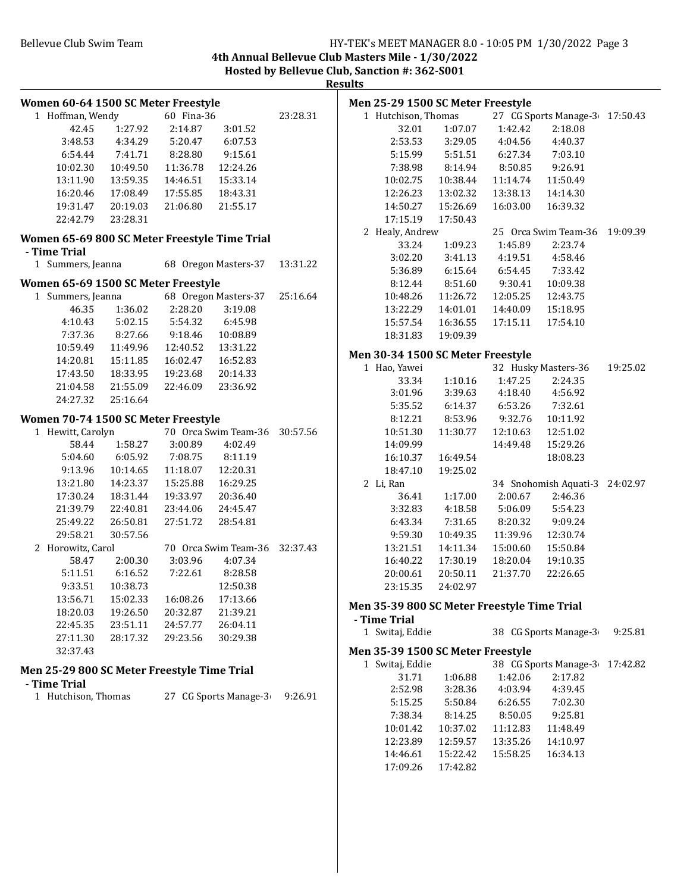# Bellevue Club Swim Team **HY-TEK's MEET MANAGER 8.0 - 10:05 PM** 1/30/2022 Page 3

**4th Annual Bellevue Club Masters Mile - 1/30/2022 Hosted by Bellevue Club, Sanction #: 362-S001**

**Results**

| Women 60-64 1500 SC Meter Freestyle           |                             |                                                                                                                   |                               |          |  |  |  |  |
|-----------------------------------------------|-----------------------------|-------------------------------------------------------------------------------------------------------------------|-------------------------------|----------|--|--|--|--|
| 1 Hoffman, Wendy                              |                             | 60 Fina-36                                                                                                        |                               | 23:28.31 |  |  |  |  |
|                                               | 42.45 1:27.92               | 2:14.87                                                                                                           | 3:01.52                       |          |  |  |  |  |
|                                               |                             | 3:48.53 4:34.29 5:20.47 6:07.53                                                                                   |                               |          |  |  |  |  |
|                                               |                             | 6:54.44 7:41.71 8:28.80 9:15.61                                                                                   |                               |          |  |  |  |  |
|                                               |                             | 10:02.30  10:49.50  11:36.78  12:24.26                                                                            |                               |          |  |  |  |  |
|                                               |                             | 13:11.90  13:59.35  14:46.51                                                                                      | 15:33.14                      |          |  |  |  |  |
|                                               |                             | 16:20.46  17:08.49  17:55.85  18:43.31                                                                            |                               |          |  |  |  |  |
|                                               |                             | 19:31.47  20:19.03  21:06.80                                                                                      | 21:55.17                      |          |  |  |  |  |
|                                               | 22:42.79 23:28.31           |                                                                                                                   |                               |          |  |  |  |  |
|                                               |                             |                                                                                                                   |                               |          |  |  |  |  |
| Women 65-69 800 SC Meter Freestyle Time Trial |                             |                                                                                                                   |                               |          |  |  |  |  |
| - Time Trial                                  |                             |                                                                                                                   | 68 Oregon Masters-37 13:31.22 |          |  |  |  |  |
| 1 Summers, Jeanna                             |                             |                                                                                                                   |                               |          |  |  |  |  |
| Women 65-69 1500 SC Meter Freestyle           |                             |                                                                                                                   |                               |          |  |  |  |  |
| 1 Summers, Jeanna                             |                             |                                                                                                                   | 68 Oregon Masters-37 25:16.64 |          |  |  |  |  |
| 46.35                                         |                             | 1:36.02 2:28.20                                                                                                   | 3:19.08                       |          |  |  |  |  |
|                                               |                             | 4:10.43   5:02.15   5:54.32   6:45.98                                                                             |                               |          |  |  |  |  |
|                                               |                             | 7:37.36 8:27.66 9:18.46 10:08.89                                                                                  |                               |          |  |  |  |  |
|                                               |                             | $10:59.49 \qquad 11:49.96 \qquad 12:40.52 \qquad 13:31.22$                                                        |                               |          |  |  |  |  |
|                                               |                             |                                                                                                                   |                               |          |  |  |  |  |
|                                               |                             |                                                                                                                   |                               |          |  |  |  |  |
|                                               |                             | 14:20.81 15:11.85 16:02.47 16:52.83<br>17:43.50 18:33.95 19:23.68 20:14.33<br>21:04.58 21:55.09 22:46.09 23:36.92 |                               |          |  |  |  |  |
|                                               | 24:27.32 25:16.64           |                                                                                                                   |                               |          |  |  |  |  |
| Women 70-74 1500 SC Meter Freestyle           |                             |                                                                                                                   |                               |          |  |  |  |  |
| 1 Hewitt, Carolyn                             |                             |                                                                                                                   | 70 Orca Swim Team-36 30:57.56 |          |  |  |  |  |
|                                               | 58.44 1:58.27               |                                                                                                                   | 3:00.89 4:02.49               |          |  |  |  |  |
|                                               |                             | 5:04.60 6:05.92 7:08.75 8:11.19                                                                                   |                               |          |  |  |  |  |
|                                               | 9:13.96 10:14.65            |                                                                                                                   | 11:18.07  12:20.31            |          |  |  |  |  |
|                                               |                             | $13:21.80 \qquad 14:23.37 \qquad 15:25.88 \qquad 16:29.25$                                                        |                               |          |  |  |  |  |
|                                               |                             | 17:30.24  18:31.44  19:33.97  20:36.40                                                                            |                               |          |  |  |  |  |
|                                               | 21:39.79 22:40.81           |                                                                                                                   | 23:44.06 24:45.47             |          |  |  |  |  |
|                                               | 25:49.22 26:50.81           |                                                                                                                   | 27:51.72  28:54.81            |          |  |  |  |  |
|                                               | 29:58.21 30:57.56           |                                                                                                                   |                               |          |  |  |  |  |
| 2 Horowitz, Carol                             |                             |                                                                                                                   | 70 Orca Swim Team-36 32:37.43 |          |  |  |  |  |
|                                               | 58.47 2:00.30               |                                                                                                                   | 3:03.96 4:07.34               |          |  |  |  |  |
|                                               | 5:11.51   6:16.52   7:22.61 |                                                                                                                   | 8:28.58                       |          |  |  |  |  |
|                                               | 9:33.51  10:38.73           |                                                                                                                   | 12:50.38                      |          |  |  |  |  |
|                                               | 13:56.71  15:02.33          |                                                                                                                   | 16:08.26 17:13.66             |          |  |  |  |  |
| 18:20.03                                      | 19:26.50                    | 20:32.87                                                                                                          | 21:39.21                      |          |  |  |  |  |
| 22:45.35                                      | 23:51.11                    | 24:57.77                                                                                                          | 26:04.11                      |          |  |  |  |  |
| 27:11.30                                      | 28:17.32                    | 29:23.56                                                                                                          | 30:29.38                      |          |  |  |  |  |
| 32:37.43                                      |                             |                                                                                                                   |                               |          |  |  |  |  |
|                                               |                             |                                                                                                                   |                               |          |  |  |  |  |
| Men 25-29 800 SC Meter Freestyle Time Trial   |                             |                                                                                                                   |                               |          |  |  |  |  |
| - Time Trial                                  |                             |                                                                                                                   |                               |          |  |  |  |  |
| 1 Hutchison, Thomas                           |                             |                                                                                                                   | 27 CG Sports Manage-3         | 9:26.91  |  |  |  |  |
|                                               |                             |                                                                                                                   |                               |          |  |  |  |  |
|                                               |                             |                                                                                                                   |                               |          |  |  |  |  |
|                                               |                             |                                                                                                                   |                               |          |  |  |  |  |

|       | Men 25-29 1500 SC Meter Freestyle           |          |                 |                                |          |
|-------|---------------------------------------------|----------|-----------------|--------------------------------|----------|
|       | 1 Hutchison, Thomas                         |          |                 | 27 CG Sports Manage-3 17:50.43 |          |
|       | 32.01                                       | 1:07.07  | 1:42.42         | 2:18.08                        |          |
|       | 2:53.53                                     | 3:29.05  | 4:04.56         | 4:40.37                        |          |
|       | 5:15.99                                     | 5:51.51  | 6:27.34         | 7:03.10                        |          |
|       | 7:38.98                                     | 8:14.94  | 8:50.85         | 9:26.91                        |          |
|       | 10:02.75                                    | 10:38.44 | 11:14.74        | 11:50.49                       |          |
|       | 12:26.23                                    | 13:02.32 | 13:38.13        | 14:14.30                       |          |
|       | 14:50.27                                    | 15:26.69 | 16:03.00        | 16:39.32                       |          |
|       | 17:15.19                                    | 17:50.43 |                 |                                |          |
| 2     | Healy, Andrew                               |          |                 | 25 Orca Swim Team-36           | 19:09.39 |
|       | 33.24                                       | 1:09.23  | 1:45.89         | 2:23.74                        |          |
|       | 3:02.20                                     | 3:41.13  |                 | 4:19.51 4:58.46                |          |
|       | 5:36.89                                     | 6:15.64  | 6:54.45         | 7:33.42                        |          |
|       | 8:12.44                                     | 8:51.60  | 9:30.41         | 10:09.38                       |          |
|       | 10:48.26                                    | 11:26.72 | 12:05.25        | 12:43.75                       |          |
|       | 13:22.29                                    | 14:01.01 | 14:40.09        | 15:18.95                       |          |
|       | 15:57.54                                    | 16:36.55 | 17:15.11        | 17:54.10                       |          |
|       | 18:31.83                                    | 19:09.39 |                 |                                |          |
|       | Men 30-34 1500 SC Meter Freestyle           |          |                 |                                |          |
| 1     | Hao, Yawei                                  |          |                 | 32 Husky Masters-36            | 19:25.02 |
|       | 33.34                                       | 1:10.16  | 1:47.25         | 2:24.35                        |          |
|       | 3:01.96                                     | 3:39.63  | 4:18.40         | 4:56.92                        |          |
|       | 5:35.52                                     | 6:14.37  | 6:53.26 7:32.61 |                                |          |
|       | 8:12.21                                     | 8:53.96  |                 | 9:32.76 10:11.92               |          |
|       | 10:51.30                                    | 11:30.77 | 12:10.63        | 12:51.02                       |          |
|       | 14:09.99                                    |          | 14:49.48        | 15:29.26                       |          |
|       | 16:10.37                                    | 16:49.54 |                 | 18:08.23                       |          |
|       | 18:47.10                                    | 19:25.02 |                 |                                |          |
| 2     | Li, Ran                                     |          |                 | 34 Snohomish Aquati-3 24:02.97 |          |
|       | 36.41                                       | 1:17.00  | 2:00.67         | 2:46.36                        |          |
|       | 3:32.83                                     | 4:18.58  | 5:06.09         | 5:54.23                        |          |
|       | 6:43.34                                     | 7:31.65  | 8:20.32         | 9:09.24                        |          |
|       | 9:59.30                                     | 10:49.35 | 11:39.96        | 12:30.74                       |          |
|       | 13:21.51                                    | 14:11.34 | 15:00.60        | 15:50.84                       |          |
|       | 16:40.22                                    | 17:30.19 | 18:20.04        | 19:10.35                       |          |
|       | 20:00.61                                    | 20:50.11 | 21:37.70        | 22:26.65                       |          |
|       | 23:15.35                                    | 24:02.97 |                 |                                |          |
|       |                                             |          |                 |                                |          |
|       | Men 35-39 800 SC Meter Freestyle Time Trial |          |                 |                                |          |
|       | - Time Trial                                |          |                 |                                |          |
| $1\,$ | Switaj, Eddie                               |          |                 | 38 CG Sports Manage-3          | 9:25.81  |
|       | Men 35-39 1500 SC Meter Freestyle           |          |                 |                                |          |
|       | 1 Switaj, Eddie                             |          |                 | 38 CG Sports Manage-3          | 17:42.82 |
|       | 31.71                                       | 1:06.88  | 1:42.06         | 2:17.82                        |          |
|       | 2:52.98                                     | 3:28.36  | 4:03.94         | 4:39.45                        |          |
|       | 5:15.25                                     | 5:50.84  | 6:26.55         | 7:02.30                        |          |
|       | 7:38.34                                     | 8:14.25  | 8:50.05         | 9:25.81                        |          |
|       | 10:01.42                                    | 10:37.02 | 11:12.83        | 11:48.49                       |          |
|       | 12:23.89                                    | 12:59.57 | 13:35.26        | 14:10.97                       |          |
|       | 14:46.61                                    | 15:22.42 | 15:58.25        | 16:34.13                       |          |
|       | 17:09.26                                    | 17:42.82 |                 |                                |          |
|       |                                             |          |                 |                                |          |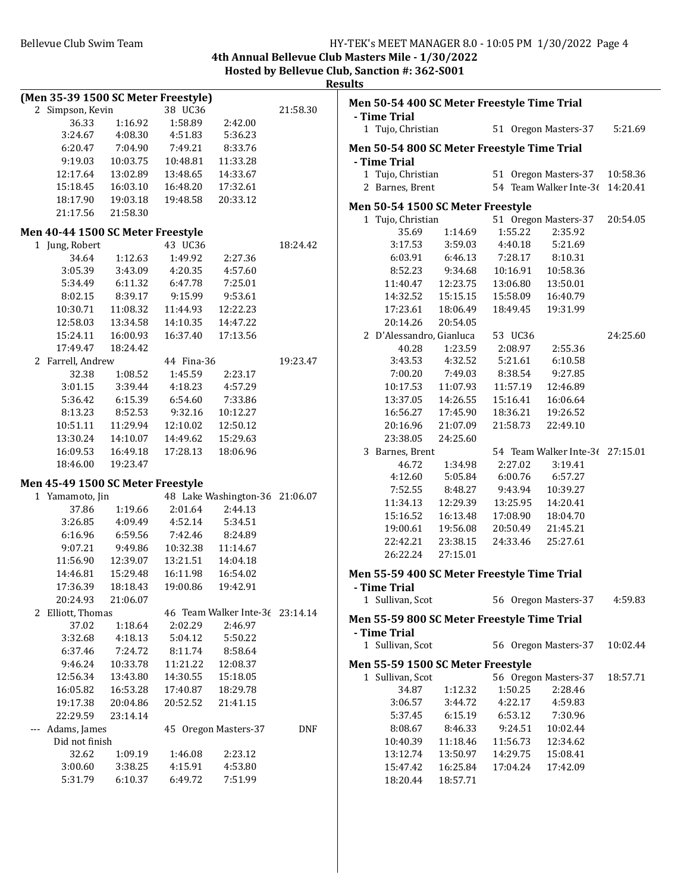**4th Annual Bellevue Club Masters Mile - 1/30/2022 Hosted by Bellevue Club, Sanction #: 362-S001**

**Results**

|                     | (Men 35-39 1500 SC Meter Freestyle) |          |            |                                 |            | Men 50-54 400 SC Meter Freestyle Time Trial |          |          |                                 |          |
|---------------------|-------------------------------------|----------|------------|---------------------------------|------------|---------------------------------------------|----------|----------|---------------------------------|----------|
|                     | 2 Simpson, Kevin                    |          | 38 UC36    |                                 | 21:58.30   |                                             |          |          |                                 |          |
|                     | 36.33                               | 1:16.92  | 1:58.89    | 2:42.00                         |            | - Time Trial                                |          |          |                                 |          |
|                     | 3:24.67                             | 4:08.30  | 4:51.83    | 5:36.23                         |            | 1 Tujo, Christian                           |          |          | 51 Oregon Masters-37            | 5:21.69  |
|                     | 6:20.47                             | 7:04.90  | 7:49.21    | 8:33.76                         |            | Men 50-54 800 SC Meter Freestyle Time Trial |          |          |                                 |          |
|                     | 9:19.03                             | 10:03.75 | 10:48.81   | 11:33.28                        |            | - Time Trial                                |          |          |                                 |          |
|                     | 12:17.64                            | 13:02.89 | 13:48.65   | 14:33.67                        |            | 1 Tujo, Christian                           |          |          | 51 Oregon Masters-37            | 10:58.36 |
|                     | 15:18.45                            | 16:03.10 | 16:48.20   | 17:32.61                        |            | 2 Barnes, Brent                             |          |          | 54 Team Walker Inte-36 14:20.41 |          |
|                     | 18:17.90                            | 19:03.18 | 19:48.58   | 20:33.12                        |            |                                             |          |          |                                 |          |
|                     | 21:17.56                            | 21:58.30 |            |                                 |            | Men 50-54 1500 SC Meter Freestyle           |          |          |                                 |          |
|                     |                                     |          |            |                                 |            | 1 Tujo, Christian                           |          |          | 51 Oregon Masters-37            | 20:54.05 |
|                     | Men 40-44 1500 SC Meter Freestyle   |          |            |                                 |            | 35.69                                       | 1:14.69  | 1:55.22  | 2:35.92                         |          |
|                     | 1 Jung, Robert                      |          | 43 UC36    |                                 | 18:24.42   | 3:17.53                                     | 3:59.03  | 4:40.18  | 5:21.69                         |          |
|                     | 34.64                               | 1:12.63  | 1:49.92    | 2:27.36                         |            | 6:03.91                                     | 6:46.13  | 7:28.17  | 8:10.31                         |          |
|                     | 3:05.39                             | 3:43.09  | 4:20.35    | 4:57.60                         |            | 8:52.23                                     | 9:34.68  | 10:16.91 | 10:58.36                        |          |
|                     | 5:34.49                             | 6:11.32  | 6:47.78    | 7:25.01                         |            | 11:40.47                                    | 12:23.75 | 13:06.80 | 13:50.01                        |          |
|                     | 8:02.15                             | 8:39.17  | 9:15.99    | 9:53.61                         |            | 14:32.52                                    | 15:15.15 | 15:58.09 | 16:40.79                        |          |
|                     | 10:30.71                            | 11:08.32 | 11:44.93   | 12:22.23                        |            | 17:23.61                                    | 18:06.49 | 18:49.45 | 19:31.99                        |          |
|                     | 12:58.03                            | 13:34.58 | 14:10.35   | 14:47.22                        |            | 20:14.26                                    | 20:54.05 |          |                                 |          |
|                     | 15:24.11                            | 16:00.93 | 16:37.40   | 17:13.56                        |            | 2 D'Alessandro, Gianluca                    |          | 53 UC36  |                                 | 24:25.60 |
|                     | 17:49.47                            | 18:24.42 |            |                                 |            | 40.28                                       | 1:23.59  | 2:08.97  | 2:55.36                         |          |
|                     | 2 Farrell, Andrew                   |          | 44 Fina-36 |                                 | 19:23.47   | 3:43.53                                     | 4:32.52  | 5:21.61  | 6:10.58                         |          |
|                     | 32.38                               | 1:08.52  | 1:45.59    | 2:23.17                         |            | 7:00.20                                     | 7:49.03  | 8:38.54  | 9:27.85                         |          |
|                     | 3:01.15                             | 3:39.44  | 4:18.23    | 4:57.29                         |            | 10:17.53                                    | 11:07.93 | 11:57.19 | 12:46.89                        |          |
|                     | 5:36.42                             | 6:15.39  | 6:54.60    | 7:33.86                         |            | 13:37.05                                    | 14:26.55 | 15:16.41 | 16:06.64                        |          |
|                     | 8:13.23                             | 8:52.53  | 9:32.16    | 10:12.27                        |            | 16:56.27                                    | 17:45.90 | 18:36.21 | 19:26.52                        |          |
|                     | 10:51.11                            | 11:29.94 | 12:10.02   | 12:50.12                        |            | 20:16.96                                    | 21:07.09 | 21:58.73 | 22:49.10                        |          |
|                     | 13:30.24                            | 14:10.07 | 14:49.62   | 15:29.63                        |            | 23:38.05                                    | 24:25.60 |          |                                 |          |
|                     | 16:09.53                            | 16:49.18 | 17:28.13   | 18:06.96                        |            | 3 Barnes, Brent                             |          |          | 54 Team Walker Inte-36 27:15.01 |          |
|                     | 18:46.00                            | 19:23.47 |            |                                 |            | 46.72                                       | 1:34.98  | 2:27.02  | 3:19.41                         |          |
|                     |                                     |          |            |                                 |            | 4:12.60                                     | 5:05.84  | 6:00.76  | 6:57.27                         |          |
|                     | Men 45-49 1500 SC Meter Freestyle   |          |            |                                 |            | 7:52.55                                     | 8:48.27  | 9:43.94  | 10:39.27                        |          |
|                     | 1 Yamamoto, Jin                     |          |            | 48 Lake Washington-36 21:06.07  |            | 11:34.13                                    | 12:29.39 | 13:25.95 | 14:20.41                        |          |
|                     | 37.86                               | 1:19.66  | 2:01.64    | 2:44.13                         |            | 15:16.52                                    | 16:13.48 | 17:08.90 | 18:04.70                        |          |
|                     | 3:26.85                             | 4:09.49  | 4:52.14    | 5:34.51                         |            | 19:00.61                                    | 19:56.08 | 20:50.49 | 21:45.21                        |          |
|                     | 6:16.96                             | 6:59.56  | 7:42.46    | 8:24.89                         |            | 22:42.21                                    | 23:38.15 | 24:33.46 | 25:27.61                        |          |
|                     | 9:07.21                             | 9:49.86  | 10:32.38   | 11:14.67                        |            | 26:22.24                                    | 27:15.01 |          |                                 |          |
|                     | 11:56.90                            | 12:39.07 | 13:21.51   | 14:04.18                        |            |                                             |          |          |                                 |          |
|                     | 14:46.81                            | 15:29.48 | 16:11.98   | 16:54.02                        |            | Men 55-59 400 SC Meter Freestyle Time Trial |          |          |                                 |          |
|                     | 17:36.39                            | 18:18.43 | 19:00.86   | 19:42.91                        |            | - Time Trial                                |          |          |                                 |          |
|                     | 20:24.93                            | 21:06.07 |            |                                 |            | 1 Sullivan, Scot                            |          |          | 56 Oregon Masters-37            | 4:59.83  |
|                     | 2 Elliott, Thomas                   |          |            | 46 Team Walker Inte-36 23:14.14 |            | Men 55-59 800 SC Meter Freestyle Time Trial |          |          |                                 |          |
|                     | 37.02                               | 1:18.64  | 2:02.29    | 2:46.97                         |            | - Time Trial                                |          |          |                                 |          |
|                     | 3:32.68                             | 4:18.13  | 5:04.12    | 5:50.22                         |            | 1 Sullivan, Scot                            |          |          | 56 Oregon Masters-37            | 10:02.44 |
|                     | 6:37.46                             | 7:24.72  | 8:11.74    | 8:58.64                         |            |                                             |          |          |                                 |          |
|                     | 9:46.24                             | 10:33.78 | 11:21.22   | 12:08.37                        |            | Men 55-59 1500 SC Meter Freestyle           |          |          |                                 |          |
|                     | 12:56.34                            | 13:43.80 | 14:30.55   | 15:18.05                        |            | 1 Sullivan, Scot                            |          |          | 56 Oregon Masters-37            | 18:57.71 |
|                     | 16:05.82                            | 16:53.28 | 17:40.87   | 18:29.78                        |            | 34.87                                       | 1:12.32  | 1:50.25  | 2:28.46                         |          |
|                     | 19:17.38                            | 20:04.86 | 20:52.52   | 21:41.15                        |            | 3:06.57                                     | 3:44.72  | 4:22.17  | 4:59.83                         |          |
|                     | 22:29.59                            | 23:14.14 |            |                                 |            | 5:37.45                                     | 6:15.19  | 6:53.12  | 7:30.96                         |          |
| $\qquad \qquad - -$ | Adams, James                        |          |            | 45 Oregon Masters-37            | <b>DNF</b> | 8:08.67                                     | 8:46.33  | 9:24.51  | 10:02.44                        |          |
|                     | Did not finish                      |          |            |                                 |            | 10:40.39                                    | 11:18.46 | 11:56.73 | 12:34.62                        |          |
|                     | 32.62                               | 1:09.19  | 1:46.08    | 2:23.12                         |            | 13:12.74                                    | 13:50.97 | 14:29.75 | 15:08.41                        |          |
|                     | 3:00.60                             | 3:38.25  | 4:15.91    | 4:53.80                         |            | 15:47.42                                    | 16:25.84 | 17:04.24 | 17:42.09                        |          |
|                     | 5:31.79                             | 6:10.37  | 6:49.72    | 7:51.99                         |            | 18:20.44                                    | 18:57.71 |          |                                 |          |
|                     |                                     |          |            |                                 |            |                                             |          |          |                                 |          |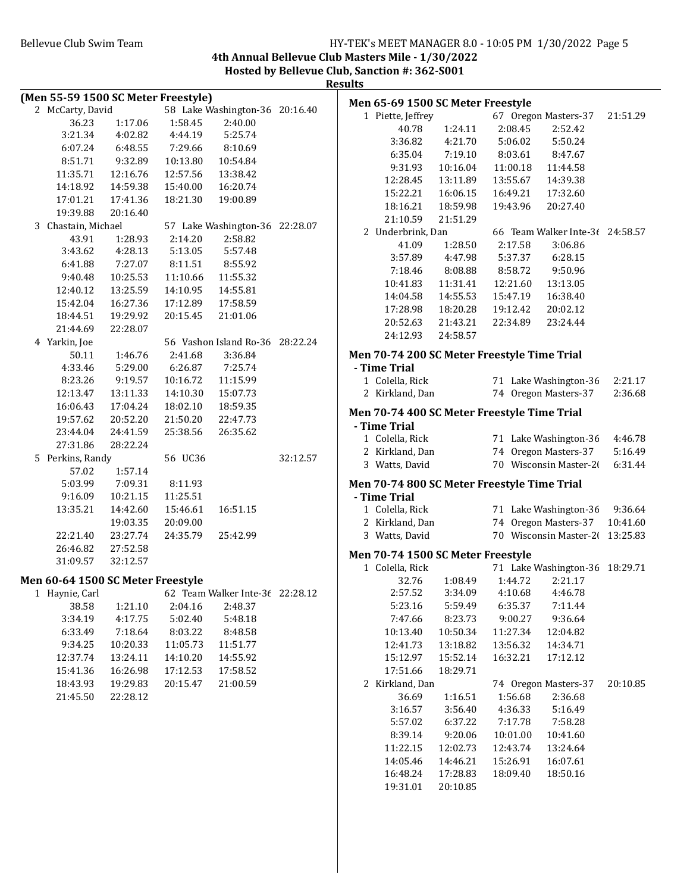### Bellevue Club Swim Team Team Franch Club Swim Team Franch Club Swim Team Franch Club Swim Team Franch Club Swim

**4th Annual Bellevue Club Masters Mile - 1/30/2022 Hosted by Bellevue Club, Sanction #: 362-S001**

| Results |  |
|---------|--|
|         |  |

| (Men 55-59 1500 SC Meter Freestyle) |          |          |                                 |          |                   | Men 65-69 1500 SC Meter Freestyle |                                             |                                 |          |
|-------------------------------------|----------|----------|---------------------------------|----------|-------------------|-----------------------------------|---------------------------------------------|---------------------------------|----------|
| 2 McCarty, David                    |          |          | 58 Lake Washington-36 20:16.40  |          | 1 Piette, Jeffrey |                                   |                                             | 67 Oregon Masters-37            | 21:51.29 |
| 36.23                               | 1:17.06  | 1:58.45  | 2:40.00                         |          | 40.78             | 1:24.11                           | 2:08.45                                     | 2:52.42                         |          |
| 3:21.34                             | 4:02.82  | 4:44.19  | 5:25.74                         |          | 3:36.82           | 4:21.70                           | 5:06.02                                     | 5:50.24                         |          |
| 6:07.24                             | 6:48.55  | 7:29.66  | 8:10.69                         |          | 6:35.04           | 7:19.10                           | 8:03.61                                     | 8:47.67                         |          |
| 8:51.71                             | 9:32.89  | 10:13.80 | 10:54.84                        |          | 9:31.93           | 10:16.04                          | 11:00.18                                    | 11:44.58                        |          |
| 11:35.71                            | 12:16.76 | 12:57.56 | 13:38.42                        |          | 12:28.45          | 13:11.89                          | 13:55.67                                    | 14:39.38                        |          |
| 14:18.92                            | 14:59.38 | 15:40.00 | 16:20.74                        |          | 15:22.21          | 16:06.15                          | 16:49.21                                    | 17:32.60                        |          |
| 17:01.21                            | 17:41.36 | 18:21.30 | 19:00.89                        |          |                   | 18:59.98                          |                                             |                                 |          |
| 19:39.88                            | 20:16.40 |          |                                 |          | 18:16.21          |                                   | 19:43.96                                    | 20:27.40                        |          |
| 3 Chastain, Michael                 |          |          | 57 Lake Washington-36 22:28.07  |          | 21:10.59          | 21:51.29                          |                                             |                                 |          |
| 43.91                               | 1:28.93  | 2:14.20  | 2:58.82                         |          | 2 Underbrink, Dan |                                   |                                             | 66 Team Walker Inte-36 24:58.57 |          |
| 3:43.62                             | 4:28.13  | 5:13.05  | 5:57.48                         |          | 41.09             | 1:28.50                           | 2:17.58                                     | 3:06.86                         |          |
| 6:41.88                             | 7:27.07  | 8:11.51  | 8:55.92                         |          | 3:57.89           | 4:47.98                           | 5:37.37                                     | 6:28.15                         |          |
| 9:40.48                             | 10:25.53 | 11:10.66 | 11:55.32                        |          | 7:18.46           | 8:08.88                           | 8:58.72                                     | 9:50.96                         |          |
| 12:40.12                            | 13:25.59 | 14:10.95 | 14:55.81                        |          | 10:41.83          | 11:31.41                          | 12:21.60                                    | 13:13.05                        |          |
| 15:42.04                            | 16:27.36 | 17:12.89 | 17:58.59                        |          | 14:04.58          | 14:55.53                          | 15:47.19                                    | 16:38.40                        |          |
| 18:44.51                            | 19:29.92 | 20:15.45 | 21:01.06                        |          | 17:28.98          | 18:20.28                          | 19:12.42                                    | 20:02.12                        |          |
| 21:44.69                            | 22:28.07 |          |                                 |          | 20:52.63          | 21:43.21                          | 22:34.89                                    | 23:24.44                        |          |
| 4 Yarkin, Joe                       |          |          | 56 Vashon Island Ro-36 28:22.24 |          | 24:12.93          | 24:58.57                          |                                             |                                 |          |
| 50.11                               | 1:46.76  | 2:41.68  | 3:36.84                         |          |                   |                                   | Men 70-74 200 SC Meter Freestyle Time Trial |                                 |          |
| 4:33.46                             | 5:29.00  | 6:26.87  | 7:25.74                         |          | - Time Trial      |                                   |                                             |                                 |          |
| 8:23.26                             | 9:19.57  | 10:16.72 | 11:15.99                        |          | 1 Colella, Rick   |                                   |                                             | 71 Lake Washington-36           | 2:21.17  |
| 12:13.47                            | 13:11.33 | 14:10.30 | 15:07.73                        |          | 2 Kirkland, Dan   |                                   |                                             | 74 Oregon Masters-37            | 2:36.68  |
| 16:06.43                            | 17:04.24 | 18:02.10 | 18:59.35                        |          |                   |                                   |                                             |                                 |          |
|                                     |          |          |                                 |          |                   |                                   | Men 70-74 400 SC Meter Freestyle Time Trial |                                 |          |
| 19:57.62                            | 20:52.20 | 21:50.20 | 22:47.73                        |          | - Time Trial      |                                   |                                             |                                 |          |
| 23:44.04                            | 24:41.59 | 25:38.56 | 26:35.62                        |          | 1 Colella, Rick   |                                   |                                             | 71 Lake Washington-36           | 4:46.78  |
| 27:31.86                            | 28:22.24 |          |                                 |          | 2 Kirkland, Dan   |                                   |                                             | 74 Oregon Masters-37            | 5:16.49  |
| 5 Perkins, Randy                    |          | 56 UC36  |                                 | 32:12.57 | 3 Watts, David    |                                   |                                             | 70 Wisconsin Master-20          | 6:31.44  |
| 57.02                               | 1:57.14  |          |                                 |          |                   |                                   |                                             |                                 |          |
| 5:03.99                             | 7:09.31  | 8:11.93  |                                 |          |                   |                                   | Men 70-74 800 SC Meter Freestyle Time Trial |                                 |          |
| 9:16.09                             | 10:21.15 | 11:25.51 |                                 |          | - Time Trial      |                                   |                                             |                                 |          |
| 13:35.21                            | 14:42.60 | 15:46.61 | 16:51.15                        |          | 1 Colella, Rick   |                                   |                                             | 71 Lake Washington-36           | 9:36.64  |
|                                     | 19:03.35 | 20:09.00 |                                 |          | 2 Kirkland, Dan   |                                   |                                             | 74 Oregon Masters-37            | 10:41.60 |
| 22:21.40                            | 23:27.74 | 24:35.79 | 25:42.99                        |          | 3 Watts, David    |                                   |                                             | 70 Wisconsin Master-2( 13:25.83 |          |
| 26:46.82                            | 27:52.58 |          |                                 |          |                   | Men 70-74 1500 SC Meter Freestyle |                                             |                                 |          |
| 31:09.57                            | 32:12.57 |          |                                 |          | 1 Colella, Rick   |                                   |                                             | 71 Lake Washington-36 18:29.71  |          |
| Men 60-64 1500 SC Meter Freestyle   |          |          |                                 |          | 32.76             | 1:08.49                           | 1:44.72                                     | 2:21.17                         |          |
| 1 Haynie, Carl                      |          |          | 62 Team Walker Inte-3( 22:28.12 |          | 2:57.52           | 3:34.09                           | 4:10.68                                     | 4:46.78                         |          |
| 38.58                               | 1:21.10  | 2:04.16  | 2:48.37                         |          | 5:23.16           | 5:59.49                           | 6:35.37                                     | 7:11.44                         |          |
| 3:34.19                             | 4:17.75  | 5:02.40  | 5:48.18                         |          | 7:47.66           | 8:23.73                           | 9:00.27                                     | 9:36.64                         |          |
| 6:33.49                             | 7:18.64  | 8:03.22  | 8:48.58                         |          | 10:13.40          | 10:50.34                          | 11:27.34                                    | 12:04.82                        |          |
| 9:34.25                             | 10:20.33 | 11:05.73 | 11:51.77                        |          | 12:41.73          | 13:18.82                          | 13:56.32                                    | 14:34.71                        |          |
| 12:37.74                            | 13:24.11 | 14:10.20 | 14:55.92                        |          | 15:12.97          | 15:52.14                          | 16:32.21                                    | 17:12.12                        |          |
| 15:41.36                            | 16:26.98 | 17:12.53 | 17:58.52                        |          | 17:51.66          | 18:29.71                          |                                             |                                 |          |
| 18:43.93                            | 19:29.83 | 20:15.47 | 21:00.59                        |          | 2 Kirkland, Dan   |                                   |                                             | 74 Oregon Masters-37            | 20:10.85 |
| 21:45.50                            | 22:28.12 |          |                                 |          | 36.69             | 1:16.51                           | 1:56.68                                     | 2:36.68                         |          |
|                                     |          |          |                                 |          |                   |                                   |                                             |                                 |          |
|                                     |          |          |                                 |          | 3:16.57           | 3:56.40                           | 4:36.33                                     | 5:16.49                         |          |
|                                     |          |          |                                 |          | 5:57.02           | 6:37.22                           | 7:17.78                                     | 7:58.28                         |          |
|                                     |          |          |                                 |          | 8:39.14           | 9:20.06                           | 10:01.00                                    | 10:41.60                        |          |
|                                     |          |          |                                 |          | 11:22.15          | 12:02.73                          | 12:43.74                                    | 13:24.64                        |          |
|                                     |          |          |                                 |          | 14:05.46          | 14:46.21                          | 15:26.91                                    | 16:07.61                        |          |
|                                     |          |          |                                 |          | 16:48.24          | 17:28.83                          | 18:09.40                                    | 18:50.16                        |          |
|                                     |          |          |                                 |          | 19:31.01          | 20:10.85                          |                                             |                                 |          |
|                                     |          |          |                                 |          |                   |                                   |                                             |                                 |          |